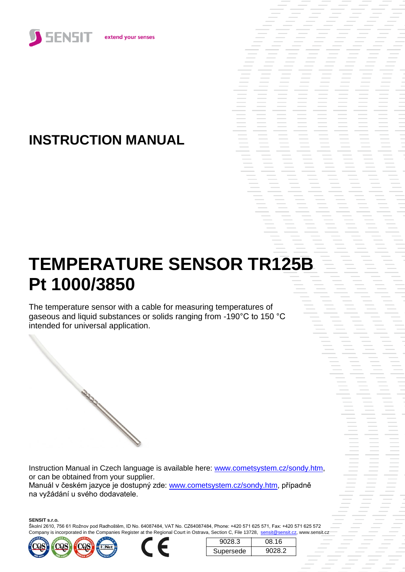

# **INSTRUCTION MANUAL**

# **TEMPERATURE SENSOR TR125B Pt 1000/3850**

The temperature sensor with a cable for measuring temperatures of gaseous and liquid substances or solids ranging from -190°C to 150 °C intended for universal application.

Instruction Manual in Czech language is available here: [www.cometsystem.cz/sondy.htm,](http://www.cometsystem.cz/sondy.htm) or can be obtained from your supplier. Manuál v českém jazyce je dostupný zde: [www.cometsystem.cz/sondy.htm,](http://www.cometsystem.cz/sondy.htm) případně na vyžádání u svého dodavatele.

**SENSIT s.r.o.**

Školní 2610, 756 61 Rožnov pod Radhoštěm, ID No. 64087484, VAT No. CZ64087484, Phone: +420 571 625 571, Fax: +420 571 625 572 Company is incorporated in the Companies Register at the Regional Court in Ostrava, Section C, File 13728, sensit@sensit.cz, www.sensit.cz





| 9028.3    | 08 16         |
|-----------|---------------|
| Supersede | <b>YU28.2</b> |

s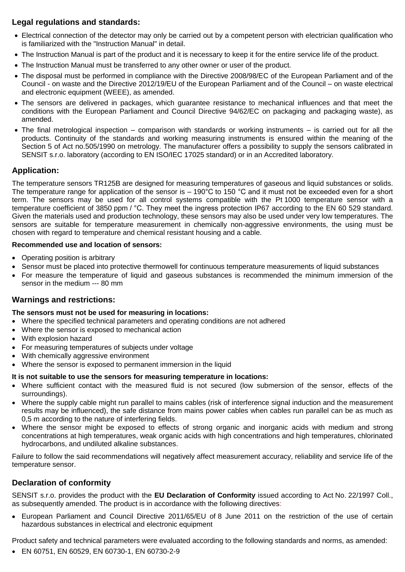# **Legal regulations and standards:**

- Electrical connection of the detector may only be carried out by a competent person with electrician qualification who is familiarized with the "Instruction Manual" in detail.
- The Instruction Manual is part of the product and it is necessary to keep it for the entire service life of the product.
- The Instruction Manual must be transferred to any other owner or user of the product.
- The disposal must be performed in compliance with the Directive 2008/98/EC of the European Parliament and of the Council - on waste and the Directive 2012/19/EU of the European Parliament and of the Council – on waste electrical and electronic equipment (WEEE), as amended.
- The sensors are delivered in packages, which guarantee resistance to mechanical influences and that meet the conditions with the European Parliament and Council Directive 94/62/EC on packaging and packaging waste), as amended.
- The final metrological inspection comparison with standards or working instruments is carried out for all the products. Continuity of the standards and working measuring instruments is ensured within the meaning of the Section 5 of Act no.505/1990 on metrology. The manufacturer offers a possibility to supply the sensors calibrated in SENSIT s.r.o. laboratory (according to EN ISO/IEC 17025 standard) or in an Accredited laboratory.

## **Application:**

The temperature sensors TR125B are designed for measuring temperatures of gaseous and liquid substances or solids. The temperature range for application of the sensor is  $-190^{\circ}$ C to 150 °C and it must not be exceeded even for a short term. The sensors may be used for all control systems compatible with the Pt 1000 temperature sensor with a temperature coefficient of 3850 ppm / °C. They meet the ingress protection IP67 according to the EN 60 529 standard. Given the materials used and production technology, these sensors may also be used under very low temperatures. The sensors are suitable for temperature measurement in chemically non-aggressive environments, the using must be chosen with regard to temperature and chemical resistant housing and a cable.

#### **Recommended use and location of sensors:**

- Operating position is arbitrary
- Sensor must be placed into protective thermowell for continuous temperature measurements of liquid substances
- For measure the temperature of liquid and gaseous substances is recommended the minimum immersion of the sensor in the medium --- 80 mm

#### **Warnings and restrictions:**

#### **The sensors must not be used for measuring in locations:**

- Where the specified technical parameters and operating conditions are not adhered
- Where the sensor is exposed to mechanical action
- With explosion hazard
- For measuring temperatures of subjects under voltage
- With chemically aggressive environment
- Where the sensor is exposed to permanent immersion in the liquid

#### **It is not suitable to use the sensors for measuring temperature in locations:**

- Where sufficient contact with the measured fluid is not secured (low submersion of the sensor, effects of the surroundings).
- Where the supply cable might run parallel to mains cables (risk of interference signal induction and the measurement results may be influenced), the safe distance from mains power cables when cables run parallel can be as much as 0,5 m according to the nature of interfering fields.
- Where the sensor might be exposed to effects of strong organic and inorganic acids with medium and strong concentrations at high temperatures, weak organic acids with high concentrations and high temperatures, chlorinated hydrocarbons, and undiluted alkaline substances.

Failure to follow the said recommendations will negatively affect measurement accuracy, reliability and service life of the temperature sensor.

## **Declaration of conformity**

SENSIT s.r.o. provides the product with the **EU Declaration of Conformity** issued according to Act No. 22/1997 Coll., as subsequently amended. The product is in accordance with the following directives:

 European Parliament and Council Directive 2011/65/EU of 8 June 2011 on the restriction of the use of certain hazardous substances in electrical and electronic equipment

Product safety and technical parameters were evaluated according to the following standards and norms, as amended:

EN 60751, EN 60529, EN 60730-1, EN 60730-2-9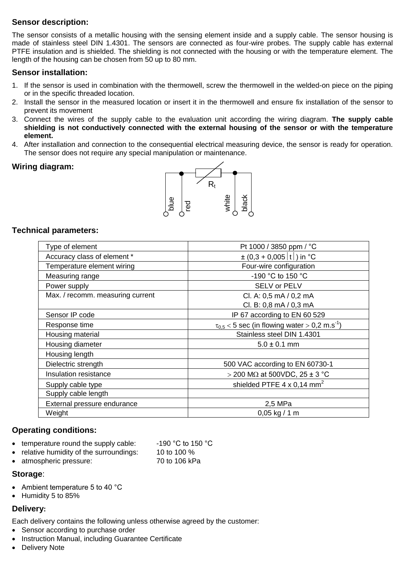# **Sensor description:**

The sensor consists of a metallic housing with the sensing element inside and a supply cable. The sensor housing is made of stainless steel DIN 1.4301. The sensors are connected as four-wire probes. The supply cable has external PTFE insulation and is shielded. The shielding is not connected with the housing or with the temperature element. The length of the housing can be chosen from 50 up to 80 mm.

#### **Sensor installation:**

- 1. If the sensor is used in combination with the thermowell, screw the thermowell in the welded-on piece on the piping or in the specific threaded location.
- 2. Install the sensor in the measured location or insert it in the thermowell and ensure fix installation of the sensor to prevent its movement
- 3. Connect the wires of the supply cable to the evaluation unit according the wiring diagram. **The supply cable shielding is not conductively connected with the external housing of the sensor or with the temperature element.**
- 4. After installation and connection to the consequential electrical measuring device, the sensor is ready for operation. The sensor does not require any special manipulation or maintenance.

#### **Wiring diagram:**



#### **Technical parameters:**

| Type of element                  | Pt 1000 / 3850 ppm / °C                                          |
|----------------------------------|------------------------------------------------------------------|
| Accuracy class of element *      | $\pm (0.3 + 0.005 \vert t \vert)$ in °C                          |
| Temperature element wiring       | Four-wire configuration                                          |
| Measuring range                  | -190 °C to 150 °C                                                |
| Power supply                     | SELV or PELV                                                     |
| Max. / recomm. measuring current | Cl. A: 0,5 mA / 0,2 mA                                           |
|                                  | Cl. B: 0,8 mA / 0,3 mA                                           |
| Sensor IP code                   | IP 67 according to EN 60 529                                     |
| Response time                    | $\tau_{0.5}$ < 5 sec (in flowing water > 0,2 m.s <sup>-1</sup> ) |
| Housing material                 | Stainless steel DIN 1.4301                                       |
| Housing diameter                 | $5.0 \pm 0.1$ mm                                                 |
| Housing length                   |                                                                  |
| Dielectric strength              | 500 VAC according to EN 60730-1                                  |
| Insulation resistance            | > 200 MΩ at 500VDC, $25 \pm 3$ °C                                |
| Supply cable type                | shielded PTFE $4 \times 0.14$ mm <sup>2</sup>                    |
| Supply cable length              |                                                                  |
| External pressure endurance      | 2,5 MPa                                                          |
| Weight                           | $0,05$ kg / 1 m                                                  |

#### **Operating conditions:**

- temperature round the supply cable:  $-190$  °C to 150 °C
- relative humidity of the surroundings: 10 to 100 %
- 
- 
- atmospheric pressure: 70 to 106 kPa

#### **Storage**:

- Ambient temperature 5 to 40 °C
- Humidity 5 to 85%

#### **Delivery:**

Each delivery contains the following unless otherwise agreed by the customer:

- Sensor according to purchase order
- Instruction Manual, including Guarantee Certificate
- Delivery Note